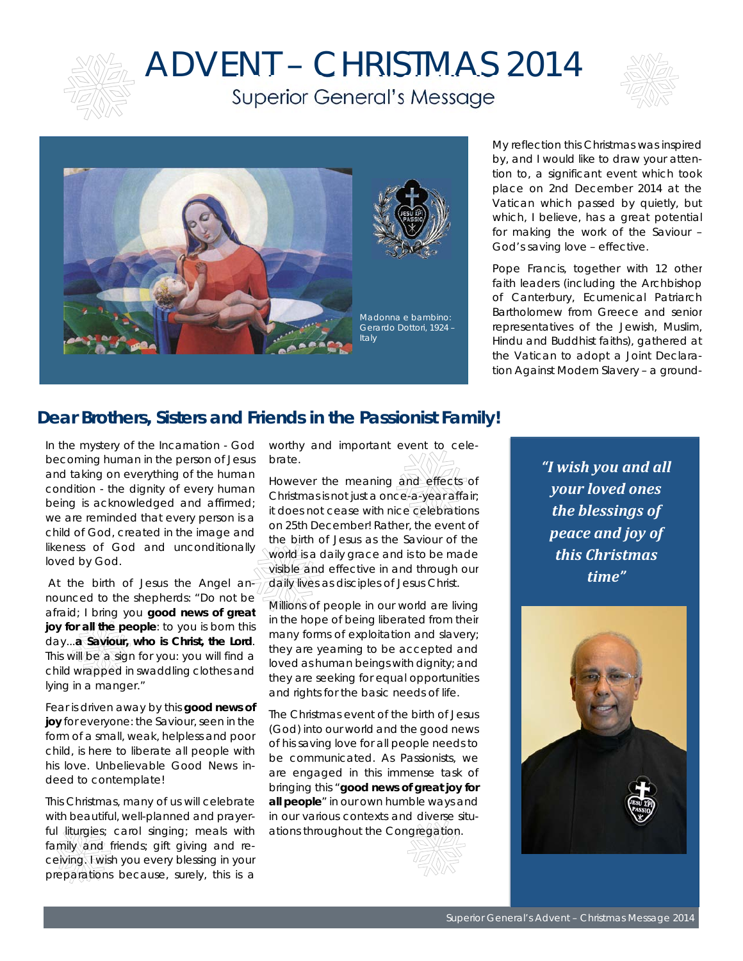

## ADVENT – CHRISTMAS 2014 Superior General's Message





My reflection this Christmas was inspired by, and I would like to draw your attention to, a significant event which took place on 2nd December 2014 at the Vatican which passed by quietly, but which, I believe, has a great potential for making the work of the Saviour – God's saving love – effective.

Pope Francis, together with 12 other faith leaders (including the Archbishop of Canterbury, Ecumenical Patriarch Bartholomew from Greece and senior representatives of the Jewish, Muslim, Hindu and Buddhist faiths), gathered at the Vatican to adopt a Joint Declaration Against Modern Slavery – a ground-

## **Dear Brothers, Sisters and Friends in the Passionist Family!**

In the mystery of the Incarnation - God becoming human in the person of Jesus and taking on everything of the human condition - the dignity of every human being is acknowledged and affirmed; we are reminded that every person is a child of God, created in the image and likeness of God and unconditionally loved by God.

 At the birth of Jesus the Angel announced to the shepherds: "*Do not be afraid; I bring you good news of great joy for all the people: to you is born this day...a Saviour, who is Christ, the Lord. This will be a sign for you: you will find a child wrapped in swaddling clothes and lying in a manger*."

Fear is driven away by this **good news of joy** for everyone: the Saviour, seen in the form of a small, weak, helpless and poor child, is here to liberate all people with his love. Unbelievable Good News indeed to contemplate!

This Christmas, many of us will celebrate with beautiful, well-planned and prayerful liturgies; carol singing; meals with family and friends; gift giving and receiving. Fwish you every blessing in your preparations because, surely, this is a

worthy and important event to celebrate.

However the meaning and effects of Christmas is not just a once-a-year affair; it does not cease with nice celebrations on 25th December! Rather, the event of the birth of Jesus as the Saviour of the world is a daily grace and is to be made visible and effective in and through our daily lives as disciples of Jesus Christ.

Millions of people in our world are living in the hope of being liberated from their many forms of exploitation and slavery; they are yearning to be accepted and loved as human beings with dignity; and they are seeking for equal opportunities and rights for the basic needs of life.

The Christmas event of the birth of Jesus (God) into our world and the good news of his saving love for all people needs to be communicated. As Passionists, we are engaged in this immense task of bringing this "**good news of great joy for all people**" in our own humble ways and in our various contexts and diverse situations throughout the Congregation.

*"I wish you and all your loved ones the blessings of peace and joy of this Christmas time"* 

I